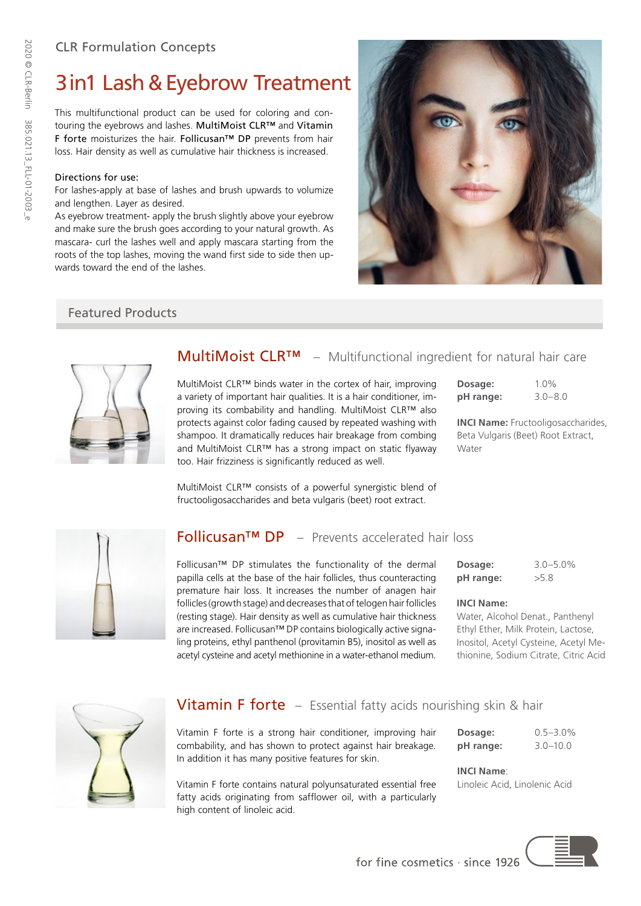## CLR Formulation Concepts

# 3in1 Lash&Eyebrow Treatment

This multifunctional product can be used for coloring and contouring the eyebrows and lashes. MultiMoist CLR™ and Vitamin F forte moisturizes the hair. Follicusan™ DP prevents from hair loss. Hair density as well as cumulative hair thickness is increased.

#### Directions for use:

For lashes-apply at base of lashes and brush upwards to volumize and lengthen. Layer as desired.

As eyebrow treatment- apply the brush slightly above your eyebrow and make sure the brush goes according to your natural growth. As mascara- curl the lashes well and apply mascara starting from the roots of the top lashes, moving the wand first side to side then upwards toward the end of the lashes.

## Featured Products



## MultiMoist CLR™ – Multifunctional ingredient for natural hair care

MultiMoist CLR™ binds water in the cortex of hair, improving a variety of important hair qualities. It is a hair conditioner, improving its combability and handling. MultiMoist CLR™ also protects against color fading caused by repeated washing with shampoo. It dramatically reduces hair breakage from combing and MultiMoist CLR™ has a strong impact on static flyaway too. Hair frizziness is significantly reduced as well.

MultiMoist CLR™ consists of a powerful synergistic blend of fructooligosaccharides and beta vulgaris (beet) root extract.

| Dosage:   | $1.0\%$     |
|-----------|-------------|
| pH range: | $3.0 - 8.0$ |

**INCI Name:** Fructooligosaccharides, Beta Vulgaris (Beet) Root Extract, **Water** 



## Follicusan™ DP – Prevents accelerated hair loss

Follicusan™ DP stimulates the functionality of the dermal papilla cells at the base of the hair follicles, thus counteracting premature hair loss. It increases the number of anagen hair follicles (growth stage) and decreases that of telogen hair follicles (resting stage). Hair density as well as cumulative hair thickness are increased. Follicusan™ DP contains biologically active signaling proteins, ethyl panthenol (provitamin B5), inositol as well as acetyl cysteine and acetyl methionine in a water-ethanol medium.

| Dosage:   | $3.0 - 5.0\%$ |  |
|-----------|---------------|--|
| pH range: | >5.8          |  |

#### **INCI Name:**

Water, Alcohol Denat., Panthenyl Ethyl Ether, Milk Protein, Lactose, Inositol, Acetyl Cysteine, Acetyl Methionine, Sodium Citrate, Citric Acid



## **Vitamin F forte** – Essential fatty acids nourishing skin & hair

Vitamin F forte is a strong hair conditioner, improving hair combability, and has shown to protect against hair breakage. In addition it has many positive features for skin.

Vitamin F forte contains natural polyunsaturated essential free fatty acids originating from safflower oil, with a particularly high content of linoleic acid.

**INCI Name**: Linoleic Acid, Linolenic Acid



2020 © CLR-Berlin 385.021.13\_FLL-01-2003\_e

2020 © CLR-Berlin 385.021.13\_FLL-01-2003\_e